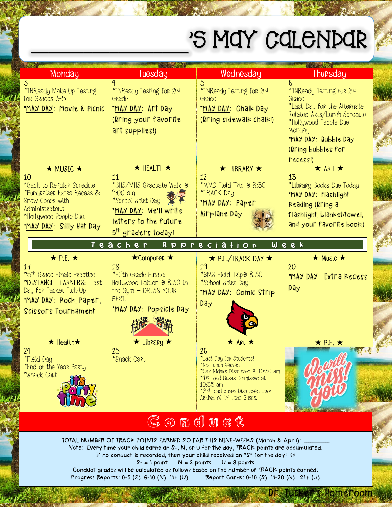## 'S MAY CALENDAR

| Monday                                                                                                                                                        | Tuesday                                                                                                                                              | Wednesday                                                                                                                                                                                                                         | Thursday                                                                                                                                                                                           |
|---------------------------------------------------------------------------------------------------------------------------------------------------------------|------------------------------------------------------------------------------------------------------------------------------------------------------|-----------------------------------------------------------------------------------------------------------------------------------------------------------------------------------------------------------------------------------|----------------------------------------------------------------------------------------------------------------------------------------------------------------------------------------------------|
| 3<br>*TNReady Make-Up Testing<br>for Grades 3-5<br>"MAY DAY: Movie & Picnic                                                                                   | 4<br>*TNReady Testing for 2nd<br>Grade<br>MAY DAY: Art Day<br>(Bring your favorite<br>art supplies!)                                                 | $\overline{5}$<br>*TNReady Testing for 2nd<br>Grade<br>MAY DAY: Chalk Day<br>(Bring sidewalk chalk!)                                                                                                                              | 6<br>*TNReady Testing for 2nd<br>Grade<br>*Last Day for the Alternate<br>Related Arts/Lunch Schedule<br>*Hollywood People Due<br>Monday<br>MAY DAY: Bubble Day<br>(Bring bubbles for<br>$recess$ ) |
| $\star$ MUSIC $\star$                                                                                                                                         | $\star$ HEALTH $\star$                                                                                                                               | $\star$ LIBRARY $\star$                                                                                                                                                                                                           | $\star$ ART $\star$                                                                                                                                                                                |
| 10<br>*Back to Regular Schedule!<br>*Fundraiser Extra Recess &<br><b>Snow Cones with</b><br>Administrators<br>*Hollywood People Due!<br>MAY DAY Silly Hat Day | $\overline{11}$<br>*BHS/MHS Graduate Walk @<br>$9:00$ am<br>*School Shirt Day<br>MAY DAY: We'll write<br>letters to the future<br>5th graders today! | $\overline{12}$<br>*MMS Field Trip @ 8:30<br>*TRACK Day<br><u>MAY DAY:</u> Paper<br>Airplane Day                                                                                                                                  | 13<br>*Library Books Due Today<br>MAY DAY: Flashlight<br>Reading (Bring a<br>flashlight, blanket/towel,<br>and your favorite book!)                                                                |
|                                                                                                                                                               | Teacher Appreciation                                                                                                                                 |                                                                                                                                                                                                                                   | Week                                                                                                                                                                                               |
| $\star$ P.E. $\star$                                                                                                                                          | $\star$ Computer $\star$                                                                                                                             | $\star$ P.E./TRACK DAY $\star$                                                                                                                                                                                                    | $\star$ Music $\star$                                                                                                                                                                              |
| 17<br>*5th Grade Finale Practice<br>*DISTANCE LEARNERS: Last<br>Day for Packet Pick-Up<br>MAY DAY Rock, Paper,<br>Scissors Tournament                         | 18<br>*Fifth Grade Finale:<br>Hollywood Edition @ 8:30 in<br>the $Gym - DRESS$ YOUR<br>BEST!<br>MAY DAY: Popsicle Day                                | 19<br>*BMS Field Trip® 8:30<br>*School Shirt Day<br>MAY DAY: Comic Strip<br><b>Day</b>                                                                                                                                            | 20<br>MAY DAY: Extra Recess<br><b>Day</b>                                                                                                                                                          |
| $\star$ Health $\star$                                                                                                                                        | $\star$ Library $\star$                                                                                                                              | $\star$ Art $\star$                                                                                                                                                                                                               | $\star$ P.E. $\star$                                                                                                                                                                               |
| 24<br>*Field Day<br>*End of the Year Party<br>*Snack Cart                                                                                                     | 25<br>*Snack Cart                                                                                                                                    | 26<br>*Last Day for Students!<br>*No Lunch Served<br>*Car Riders Dismissed @ 10:30 am<br>*1st Load Buses Dismissed at<br>10:35 am<br>*2nd Load Buses Dismissed Upon<br>Arrival of 1st Load Buses.<br>$\epsilon$<br>$\overline{a}$ |                                                                                                                                                                                                    |

## $G \odot \mathbb{D}$  due t

TOTAL NUMBER OF TRACK POINTS EARNED SO FAR THIS NINE-WEEKS (March & April): Note: Every time your child earns an S-, N, or U for the day, TRACK points are accumulated.

If no conduct is recorded, then your child received an "S" for the day!  $\circledcirc$  $S - 1$  point  $N = 2$  points  $U = 3$  points

Homeroom

Conduct grades will be calculated as follows based on the number of TRACK points earned: Progress Reports: 0-5 (S) 6-10 (N) 11+ (U) Report Cards: 0-10 (S) 11-20 (N) 21+ (U)